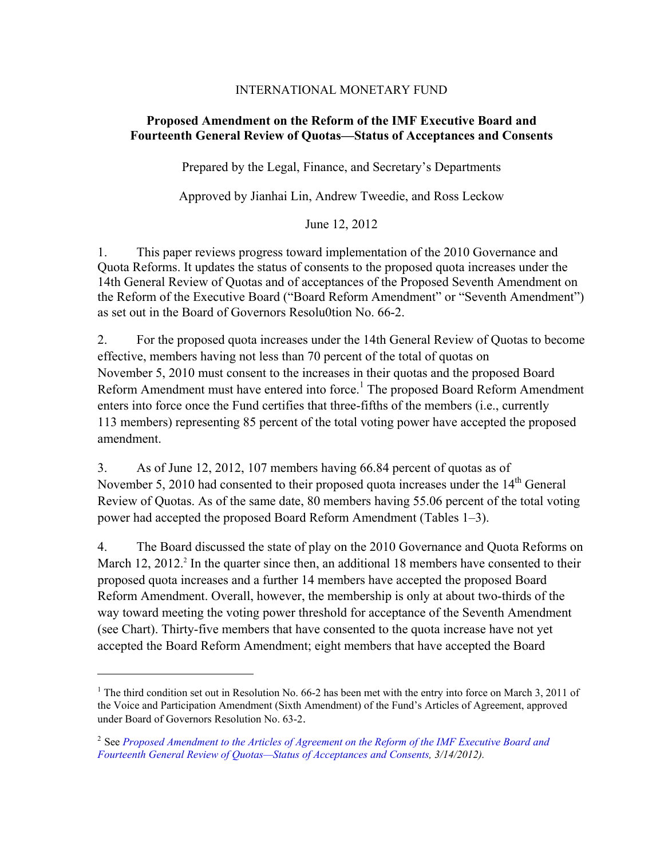# INTERNATIONAL MONETARY FUND

# **Proposed Amendment on the Reform of the IMF Executive Board and Fourteenth General Review of Quotas—Status of Acceptances and Consents**

Prepared by the Legal, Finance, and Secretary's Departments

Approved by Jianhai Lin, Andrew Tweedie, and Ross Leckow

June 12, 2012

1. This paper reviews progress toward implementation of the 2010 Governance and Quota Reforms. It updates the status of consents to the proposed quota increases under the 14th General Review of Quotas and of acceptances of the Proposed Seventh Amendment on the Reform of the Executive Board ("Board Reform Amendment" or "Seventh Amendment") as set out in the Board of Governors Resolu0tion No. 66-2.

2. For the proposed quota increases under the 14th General Review of Quotas to become effective, members having not less than 70 percent of the total of quotas on November 5, 2010 must consent to the increases in their quotas and the proposed Board Reform Amendment must have entered into force.<sup>1</sup> The proposed Board Reform Amendment enters into force once the Fund certifies that three-fifths of the members (i.e., currently 113 members) representing 85 percent of the total voting power have accepted the proposed amendment.

3. As of June 12, 2012, 107 members having 66.84 percent of quotas as of November 5, 2010 had consented to their proposed quota increases under the  $14<sup>th</sup>$  General Review of Quotas. As of the same date, 80 members having 55.06 percent of the total voting power had accepted the proposed Board Reform Amendment (Tables 1–3).

4. The Board discussed the state of play on the 2010 Governance and Quota Reforms on March 12, 2012.<sup>2</sup> In the quarter since then, an additional 18 members have consented to their proposed quota increases and a further 14 members have accepted the proposed Board Reform Amendment. Overall, however, the membership is only at about two-thirds of the way toward meeting the voting power threshold for acceptance of the Seventh Amendment (see Chart). Thirty-five members that have consented to the quota increase have not yet accepted the Board Reform Amendment; eight members that have accepted the Board

1

<sup>&</sup>lt;sup>1</sup> The third condition set out in Resolution No. 66-2 has been met with the entry into force on March 3, 2011 of the Voice and Participation Amendment (Sixth Amendment) of the Fund's Articles of Agreement, approved under Board of Governors Resolution No. 63-2.

<sup>2</sup> See *Proposed Amendment to the Articles of Agreement on the Reform of the IMF Executive Board and [Fourteenth General Review of Quotas—Status of Acceptances and Consents, 3/14/2012\).](http://www.imf.org/external/np/pp/eng/2012/030212.pdf)*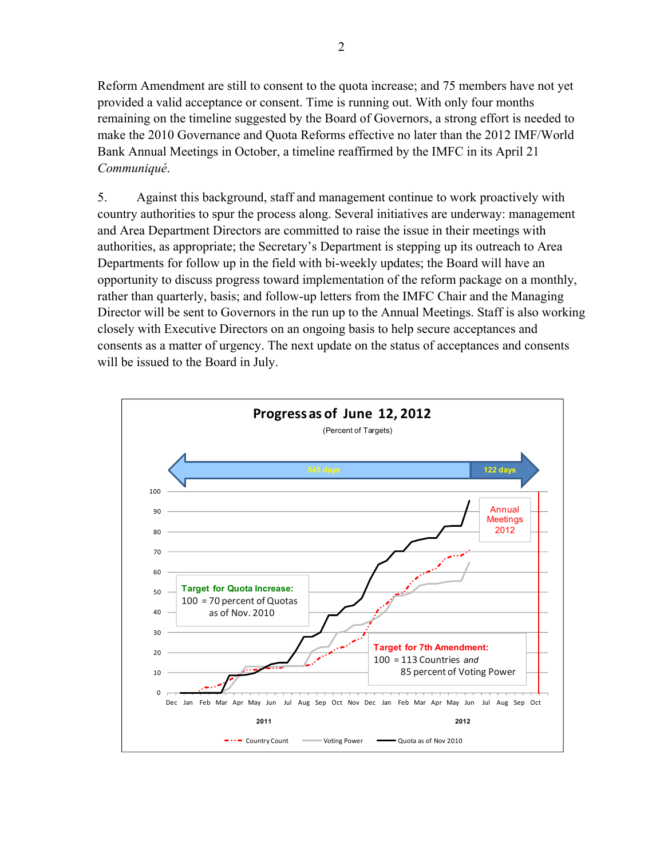Reform Amendment are still to consent to the quota increase; and 75 members have not yet provided a valid acceptance or consent. Time is running out. With only four months remaining on the timeline suggested by the Board of Governors, a strong effort is needed to make the 2010 Governance and Quota Reforms effective no later than the 2012 IMF/World Bank Annual Meetings in October, a timeline reaffirmed by the IMFC in its April 21 *Communiqué*.

5. Against this background, staff and management continue to work proactively with country authorities to spur the process along. Several initiatives are underway: management and Area Department Directors are committed to raise the issue in their meetings with authorities, as appropriate; the Secretary's Department is stepping up its outreach to Area Departments for follow up in the field with bi-weekly updates; the Board will have an opportunity to discuss progress toward implementation of the reform package on a monthly, rather than quarterly, basis; and follow-up letters from the IMFC Chair and the Managing Director will be sent to Governors in the run up to the Annual Meetings. Staff is also working closely with Executive Directors on an ongoing basis to help secure acceptances and consents as a matter of urgency. The next update on the status of acceptances and consents will be issued to the Board in July.

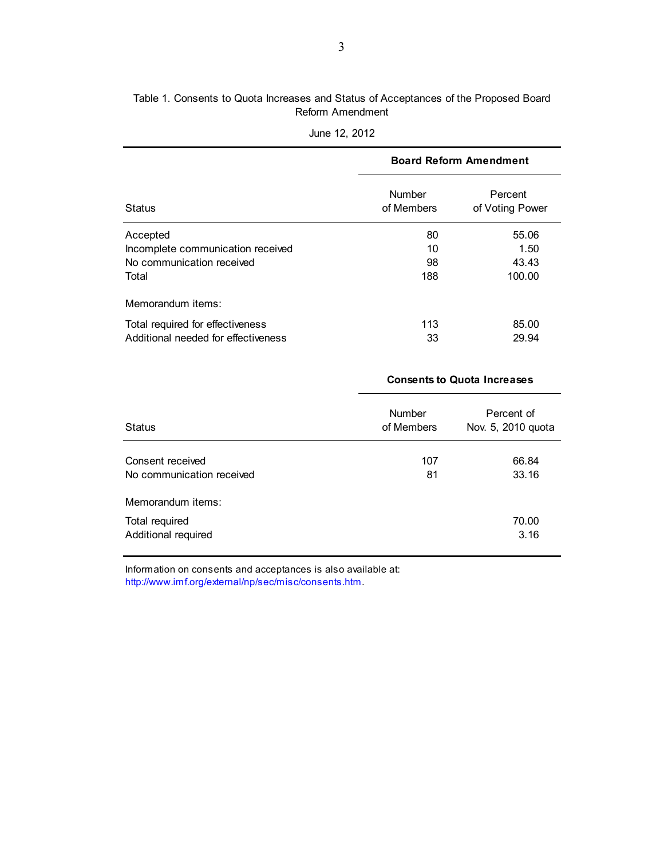### Table 1. Consents to Quota Increases and Status of Acceptances of the Proposed Board Reform Amendment

|                                     |                             | <b>Board Reform Amendment</b> |  |  |
|-------------------------------------|-----------------------------|-------------------------------|--|--|
| <b>Status</b>                       | <b>Number</b><br>of Members | Percent<br>of Voting Power    |  |  |
| Accepted                            | 80                          | 55.06                         |  |  |
| Incomplete communication received   | 10                          | 1.50                          |  |  |
| No communication received           | 98                          | 43.43                         |  |  |
| Total                               | 188                         | 100.00                        |  |  |
| Memorandum items:                   |                             |                               |  |  |
| Total required for effectiveness    | 113                         | 85.00                         |  |  |
| Additional needed for effectiveness | 33                          | 29.94                         |  |  |

| June 12, 2012 |  |  |
|---------------|--|--|
|---------------|--|--|

|                                               | <b>Consents to Quota Increases</b> |                                  |  |
|-----------------------------------------------|------------------------------------|----------------------------------|--|
| <b>Status</b>                                 | <b>Number</b><br>of Members        | Percent of<br>Nov. 5, 2010 quota |  |
| Consent received<br>No communication received | 107<br>81                          | 66.84<br>33.16                   |  |
| Memorandum items:                             |                                    |                                  |  |
| Total required<br>Additional required         |                                    | 70.00<br>3.16                    |  |

Information on consents and acceptances is also available at: <http://www.imf.org/external/np/sec/misc/consents.htm>.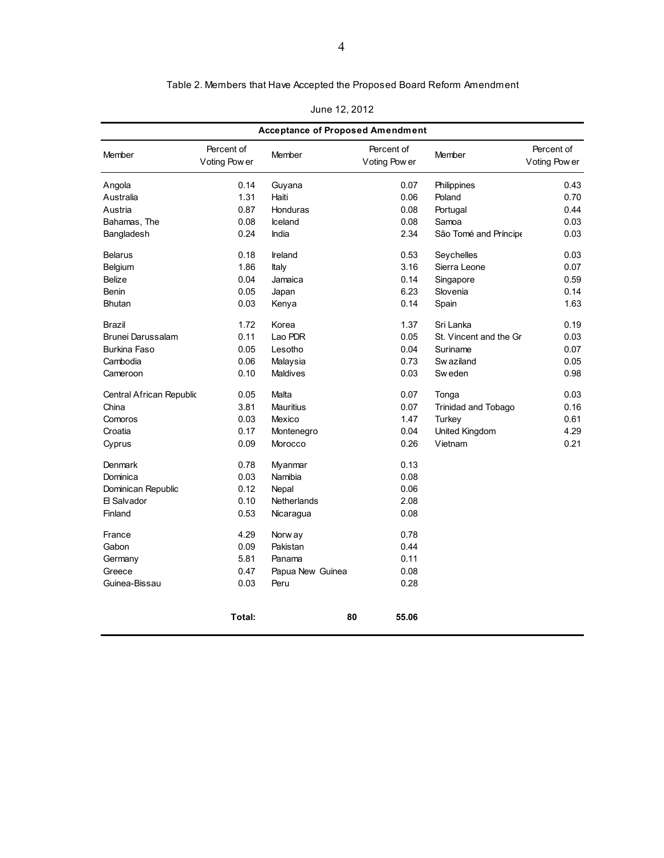| Table 2. Members that Have Accepted the Proposed Board Reform Amendment |
|-------------------------------------------------------------------------|
|-------------------------------------------------------------------------|

| June 12, 2012 |  |  |  |  |
|---------------|--|--|--|--|
|---------------|--|--|--|--|

| <b>Acceptance of Proposed Amendment</b> |                             |                  |                             |                        |                             |
|-----------------------------------------|-----------------------------|------------------|-----------------------------|------------------------|-----------------------------|
| Member                                  | Percent of<br>Voting Pow er | Member           | Percent of<br>Voting Pow er | Member                 | Percent of<br>Voting Pow er |
| Angola                                  | 0.14                        | Guyana           | 0.07                        | Philippines            | 0.43                        |
| Australia                               | 1.31                        | Haiti            | 0.06                        | Poland                 | 0.70                        |
| Austria                                 | 0.87                        | Honduras         | 0.08                        | Portugal               | 0.44                        |
| Bahamas, The                            | 0.08                        | Iceland          | 0.08                        | Samoa                  | 0.03                        |
| Bangladesh                              | 0.24                        | India            | 2.34                        | São Tomé and Príncipe  | 0.03                        |
| <b>Belarus</b>                          | 0.18                        | Ireland          | 0.53                        | Seychelles             | 0.03                        |
| Belgium                                 | 1.86                        | Italy            | 3.16                        | Sierra Leone           | 0.07                        |
| <b>Belize</b>                           | 0.04                        | Jamaica          | 0.14                        | Singapore              | 0.59                        |
| Benin                                   | 0.05                        | Japan            | 6.23                        | Slovenia               | 0.14                        |
| <b>Bhutan</b>                           | 0.03                        | Kenya            | 0.14                        | Spain                  | 1.63                        |
| Brazil                                  | 1.72                        | Korea            | 1.37                        | Sri Lanka              | 0.19                        |
| Brunei Darussalam                       | 0.11                        | Lao PDR          | 0.05                        | St. Vincent and the Gr | 0.03                        |
| Burkina Faso                            | 0.05                        | Lesotho          | 0.04                        | Suriname               | 0.07                        |
| Cambodia                                | 0.06                        | Malaysia         | 0.73                        | Sw aziland             | 0.05                        |
| Cameroon                                | 0.10                        | Maldives         | 0.03                        | Sw eden                | 0.98                        |
| Central African Republic                | 0.05                        | Malta            | 0.07                        | Tonga                  | 0.03                        |
| China                                   | 3.81                        | <b>Mauritius</b> | 0.07                        | Trinidad and Tobago    | 0.16                        |
| Comoros                                 | 0.03                        | Mexico           | 1.47                        | Turkey                 | 0.61                        |
| Croatia                                 | 0.17                        | Montenegro       | 0.04                        | United Kingdom         | 4.29                        |
| Cyprus                                  | 0.09                        | Morocco          | 0.26                        | Vietnam                | 0.21                        |
| Denmark                                 | 0.78                        | Myanmar          | 0.13                        |                        |                             |
| Dominica                                | 0.03                        | Namibia          | 0.08                        |                        |                             |
| Dominican Republic                      | 0.12                        | Nepal            | 0.06                        |                        |                             |
| 日 Salvador                              | 0.10                        | Netherlands      | 2.08                        |                        |                             |
| Finland                                 | 0.53                        | Nicaragua        | 0.08                        |                        |                             |
| France                                  | 4.29                        | Norw ay          | 0.78                        |                        |                             |
| Gabon                                   | 0.09                        | Pakistan         | 0.44                        |                        |                             |
| Germany                                 | 5.81                        | Panama           | 0.11                        |                        |                             |
| Greece                                  | 0.47                        | Papua New Guinea | 0.08                        |                        |                             |
| Guinea-Bissau                           | 0.03                        | Peru             | 0.28                        |                        |                             |
|                                         | Total:                      | 80               | 55.06                       |                        |                             |